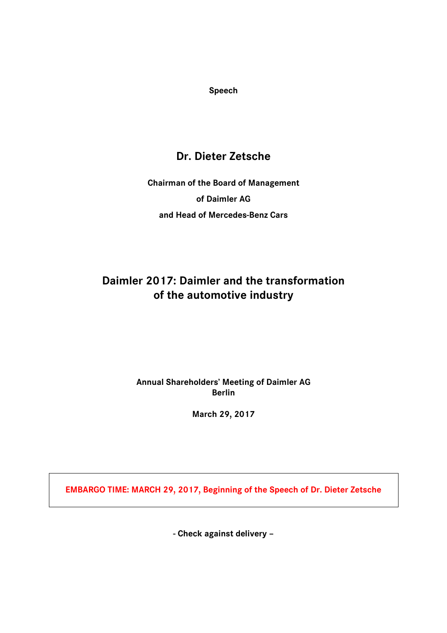**Speech**

## **Dr. Dieter Zetsche**

# **Chairman of the Board of Management of Daimler AG and Head of Mercedes-Benz Cars**

## **Daimler 2017: Daimler and the transformation of the automotive industry**

### **Annual Shareholders' Meeting of Daimler AG Berlin**

**March 29, 2017**

**EMBARGO TIME: MARCH 29, 2017, Beginning of the Speech of Dr. Dieter Zetsche**

**- Check against delivery –**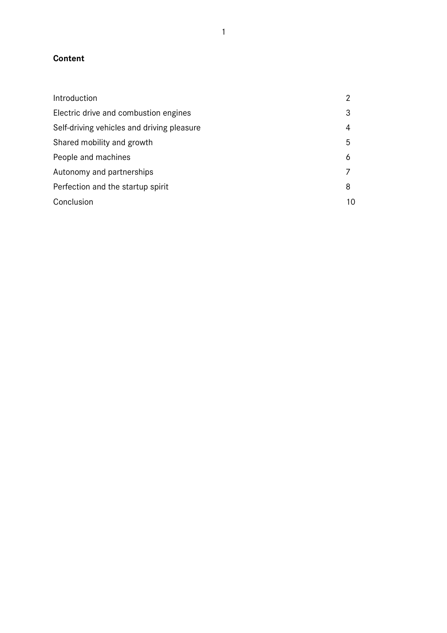### **Content**

| Introduction                               |    |
|--------------------------------------------|----|
| Electric drive and combustion engines      |    |
| Self-driving vehicles and driving pleasure | 4  |
| Shared mobility and growth                 | 5  |
| People and machines                        | 6  |
| Autonomy and partnerships                  |    |
| Perfection and the startup spirit          | 8  |
| Conclusion                                 | 10 |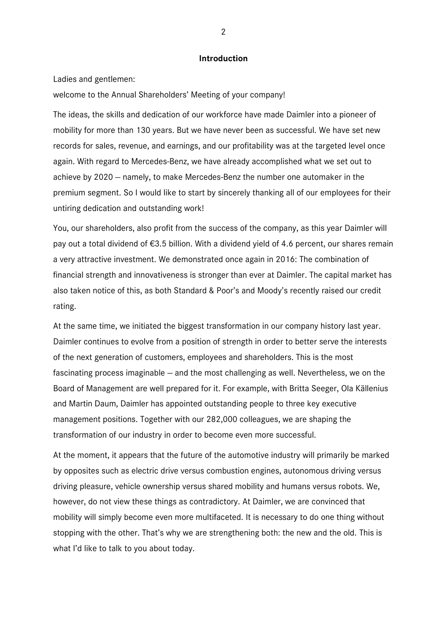#### **Introduction**

Ladies and gentlemen:

welcome to the Annual Shareholders' Meeting of your company!

The ideas, the skills and dedication of our workforce have made Daimler into a pioneer of mobility for more than 130 years. But we have never been as successful. We have set new records for sales, revenue, and earnings, and our profitability was at the targeted level once again. With regard to Mercedes-Benz, we have already accomplished what we set out to achieve by 2020 — namely, to make Mercedes-Benz the number one automaker in the premium segment. So I would like to start by sincerely thanking all of our employees for their untiring dedication and outstanding work!

You, our shareholders, also profit from the success of the company, as this year Daimler will pay out a total dividend of €3.5 billion. With a dividend yield of 4.6 percent, our shares remain a very attractive investment. We demonstrated once again in 2016: The combination of financial strength and innovativeness is stronger than ever at Daimler. The capital market has also taken notice of this, as both Standard & Poor's and Moody's recently raised our credit rating.

At the same time, we initiated the biggest transformation in our company history last year. Daimler continues to evolve from a position of strength in order to better serve the interests of the next generation of customers, employees and shareholders. This is the most fascinating process imaginable — and the most challenging as well. Nevertheless, we on the Board of Management are well prepared for it. For example, with Britta Seeger, Ola Källenius and Martin Daum, Daimler has appointed outstanding people to three key executive management positions. Together with our 282,000 colleagues, we are shaping the transformation of our industry in order to become even more successful.

At the moment, it appears that the future of the automotive industry will primarily be marked by opposites such as electric drive versus combustion engines, autonomous driving versus driving pleasure, vehicle ownership versus shared mobility and humans versus robots. We, however, do not view these things as contradictory. At Daimler, we are convinced that mobility will simply become even more multifaceted. It is necessary to do one thing without stopping with the other. That's why we are strengthening both: the new and the old. This is what I'd like to talk to you about today.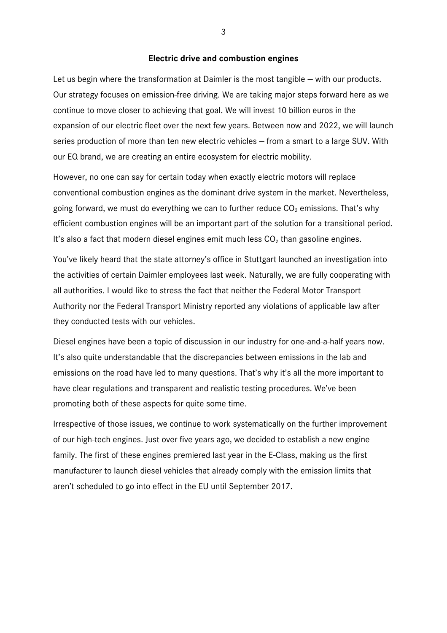#### **Electric drive and combustion engines**

Let us begin where the transformation at Daimler is the most tangible — with our products. Our strategy focuses on emission-free driving. We are taking major steps forward here as we continue to move closer to achieving that goal. We will invest 10 billion euros in the expansion of our electric fleet over the next few years. Between now and 2022, we will launch series production of more than ten new electric vehicles — from a smart to a large SUV. With our EQ brand, we are creating an entire ecosystem for electric mobility.

However, no one can say for certain today when exactly electric motors will replace conventional combustion engines as the dominant drive system in the market. Nevertheless, going forward, we must do everything we can to further reduce  $CO<sub>2</sub>$  emissions. That's why efficient combustion engines will be an important part of the solution for a transitional period. It's also a fact that modern diesel engines emit much less  $CO<sub>2</sub>$  than gasoline engines.

You've likely heard that the state attorney's office in Stuttgart launched an investigation into the activities of certain Daimler employees last week. Naturally, we are fully cooperating with all authorities. I would like to stress the fact that neither the Federal Motor Transport Authority nor the Federal Transport Ministry reported any violations of applicable law after they conducted tests with our vehicles.

Diesel engines have been a topic of discussion in our industry for one-and-a-half years now. It's also quite understandable that the discrepancies between emissions in the lab and emissions on the road have led to many questions. That's why it's all the more important to have clear regulations and transparent and realistic testing procedures. We've been promoting both of these aspects for quite some time.

Irrespective of those issues, we continue to work systematically on the further improvement of our high-tech engines. Just over five years ago, we decided to establish a new engine family. The first of these engines premiered last year in the E-Class, making us the first manufacturer to launch diesel vehicles that already comply with the emission limits that aren't scheduled to go into effect in the EU until September 2017.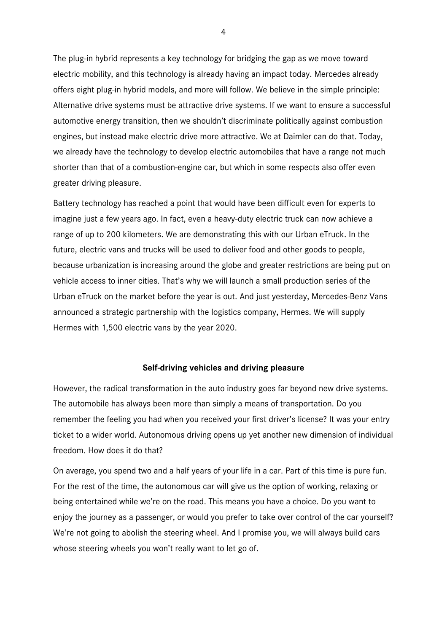The plug-in hybrid represents a key technology for bridging the gap as we move toward electric mobility, and this technology is already having an impact today. Mercedes already offers eight plug-in hybrid models, and more will follow. We believe in the simple principle: Alternative drive systems must be attractive drive systems. If we want to ensure a successful automotive energy transition, then we shouldn't discriminate politically against combustion engines, but instead make electric drive more attractive. We at Daimler can do that. Today, we already have the technology to develop electric automobiles that have a range not much shorter than that of a combustion-engine car, but which in some respects also offer even greater driving pleasure.

Battery technology has reached a point that would have been difficult even for experts to imagine just a few years ago. In fact, even a heavy-duty electric truck can now achieve a range of up to 200 kilometers. We are demonstrating this with our Urban eTruck. In the future, electric vans and trucks will be used to deliver food and other goods to people, because urbanization is increasing around the globe and greater restrictions are being put on vehicle access to inner cities. That's why we will launch a small production series of the Urban eTruck on the market before the year is out. And just yesterday, Mercedes-Benz Vans announced a strategic partnership with the logistics company, Hermes. We will supply Hermes with 1,500 electric vans by the year 2020.

#### **Self-driving vehicles and driving pleasure**

However, the radical transformation in the auto industry goes far beyond new drive systems. The automobile has always been more than simply a means of transportation. Do you remember the feeling you had when you received your first driver's license? It was your entry ticket to a wider world. Autonomous driving opens up yet another new dimension of individual freedom. How does it do that?

On average, you spend two and a half years of your life in a car. Part of this time is pure fun. For the rest of the time, the autonomous car will give us the option of working, relaxing or being entertained while we're on the road. This means you have a choice. Do you want to enjoy the journey as a passenger, or would you prefer to take over control of the car yourself? We're not going to abolish the steering wheel. And I promise you, we will always build cars whose steering wheels you won't really want to let go of.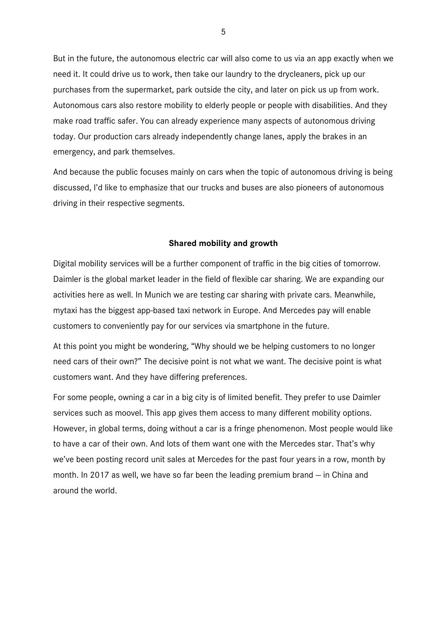But in the future, the autonomous electric car will also come to us via an app exactly when we need it. It could drive us to work, then take our laundry to the drycleaners, pick up our purchases from the supermarket, park outside the city, and later on pick us up from work. Autonomous cars also restore mobility to elderly people or people with disabilities. And they make road traffic safer. You can already experience many aspects of autonomous driving today. Our production cars already independently change lanes, apply the brakes in an emergency, and park themselves.

And because the public focuses mainly on cars when the topic of autonomous driving is being discussed, I'd like to emphasize that our trucks and buses are also pioneers of autonomous driving in their respective segments.

### **Shared mobility and growth**

Digital mobility services will be a further component of traffic in the big cities of tomorrow. Daimler is the global market leader in the field of flexible car sharing. We are expanding our activities here as well. In Munich we are testing car sharing with private cars. Meanwhile, mytaxi has the biggest app-based taxi network in Europe. And Mercedes pay will enable customers to conveniently pay for our services via smartphone in the future.

At this point you might be wondering, "Why should we be helping customers to no longer need cars of their own?" The decisive point is not what we want. The decisive point is what customers want. And they have differing preferences.

For some people, owning a car in a big city is of limited benefit. They prefer to use Daimler services such as moovel. This app gives them access to many different mobility options. However, in global terms, doing without a car is a fringe phenomenon. Most people would like to have a car of their own. And lots of them want one with the Mercedes star. That's why we've been posting record unit sales at Mercedes for the past four years in a row, month by month. In 2017 as well, we have so far been the leading premium brand — in China and around the world.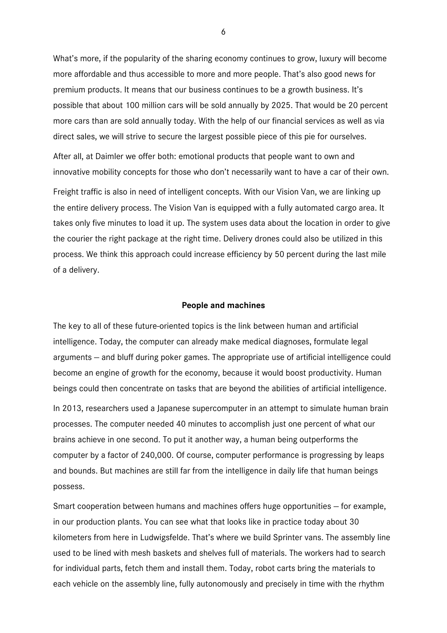What's more, if the popularity of the sharing economy continues to grow, luxury will become more affordable and thus accessible to more and more people. That's also good news for premium products. It means that our business continues to be a growth business. It's possible that about 100 million cars will be sold annually by 2025. That would be 20 percent more cars than are sold annually today. With the help of our financial services as well as via direct sales, we will strive to secure the largest possible piece of this pie for ourselves.

After all, at Daimler we offer both: emotional products that people want to own and innovative mobility concepts for those who don't necessarily want to have a car of their own.

Freight traffic is also in need of intelligent concepts. With our Vision Van, we are linking up the entire delivery process. The Vision Van is equipped with a fully automated cargo area. It takes only five minutes to load it up. The system uses data about the location in order to give the courier the right package at the right time. Delivery drones could also be utilized in this process. We think this approach could increase efficiency by 50 percent during the last mile of a delivery.

#### **People and machines**

The key to all of these future-oriented topics is the link between human and artificial intelligence. Today, the computer can already make medical diagnoses, formulate legal arguments — and bluff during poker games. The appropriate use of artificial intelligence could become an engine of growth for the economy, because it would boost productivity. Human beings could then concentrate on tasks that are beyond the abilities of artificial intelligence.

In 2013, researchers used a Japanese supercomputer in an attempt to simulate human brain processes. The computer needed 40 minutes to accomplish just one percent of what our brains achieve in one second. To put it another way, a human being outperforms the computer by a factor of 240,000. Of course, computer performance is progressing by leaps and bounds. But machines are still far from the intelligence in daily life that human beings possess.

Smart cooperation between humans and machines offers huge opportunities — for example, in our production plants. You can see what that looks like in practice today about 30 kilometers from here in Ludwigsfelde. That's where we build Sprinter vans. The assembly line used to be lined with mesh baskets and shelves full of materials. The workers had to search for individual parts, fetch them and install them. Today, robot carts bring the materials to each vehicle on the assembly line, fully autonomously and precisely in time with the rhythm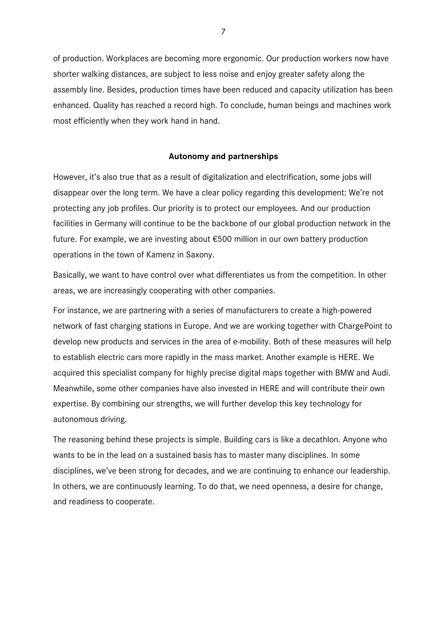of production. Workplaces are becoming more ergonomic. Our production workers now have shorter walking distances, are subject to less noise and enjoy greater safety along the assembly line. Besides, production times have been reduced and capacity utilization has been enhanced. Quality has reached a record high. To conclude, human beings and machines work most efficiently when they work hand in hand.

#### **Autonomy and partnerships**

However, it's also true that as a result of digitalization and electrification, some jobs will disappear over the long term. We have a clear policy regarding this development: We're not protecting any job profiles. Our priority is to protect our employees. And our production facilities in Germany will continue to be the backbone of our global production network in the future. For example, we are investing about €500 million in our own battery production operations in the town of Kamenz in Saxony.

Basically, we want to have control over what differentiates us from the competition. In other areas, we are increasingly cooperating with other companies.

For instance, we are partnering with a series of manufacturers to create a high-powered network of fast charging stations in Europe. And we are working together with ChargePoint to develop new products and services in the area of e-mobility. Both of these measures will help to establish electric cars more rapidly in the mass market. Another example is HERE. We acquired this specialist company for highly precise digital maps together with BMW and Audi. Meanwhile, some other companies have also invested in HERE and will contribute their own expertise. By combining our strengths, we will further develop this key technology for autonomous driving.

The reasoning behind these projects is simple. Building cars is like a decathlon. Anyone who wants to be in the lead on a sustained basis has to master many disciplines. In some disciplines, we've been strong for decades, and we are continuing to enhance our leadership. In others, we are continuously learning. To do that, we need openness, a desire for change, and readiness to cooperate.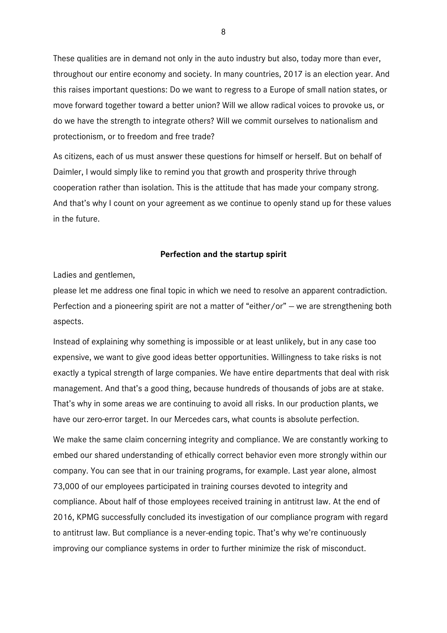These qualities are in demand not only in the auto industry but also, today more than ever, throughout our entire economy and society. In many countries, 2017 is an election year. And this raises important questions: Do we want to regress to a Europe of small nation states, or move forward together toward a better union? Will we allow radical voices to provoke us, or do we have the strength to integrate others? Will we commit ourselves to nationalism and protectionism, or to freedom and free trade?

As citizens, each of us must answer these questions for himself or herself. But on behalf of Daimler, I would simply like to remind you that growth and prosperity thrive through cooperation rather than isolation. This is the attitude that has made your company strong. And that's why I count on your agreement as we continue to openly stand up for these values in the future.

#### **Perfection and the startup spirit**

Ladies and gentlemen,

please let me address one final topic in which we need to resolve an apparent contradiction. Perfection and a pioneering spirit are not a matter of "either/or" - we are strengthening both aspects.

Instead of explaining why something is impossible or at least unlikely, but in any case too expensive, we want to give good ideas better opportunities. Willingness to take risks is not exactly a typical strength of large companies. We have entire departments that deal with risk management. And that's a good thing, because hundreds of thousands of jobs are at stake. That's why in some areas we are continuing to avoid all risks. In our production plants, we have our zero-error target. In our Mercedes cars, what counts is absolute perfection.

We make the same claim concerning integrity and compliance. We are constantly working to embed our shared understanding of ethically correct behavior even more strongly within our company. You can see that in our training programs, for example. Last year alone, almost 73,000 of our employees participated in training courses devoted to integrity and compliance. About half of those employees received training in antitrust law. At the end of 2016, KPMG successfully concluded its investigation of our compliance program with regard to antitrust law. But compliance is a never-ending topic. That's why we're continuously improving our compliance systems in order to further minimize the risk of misconduct.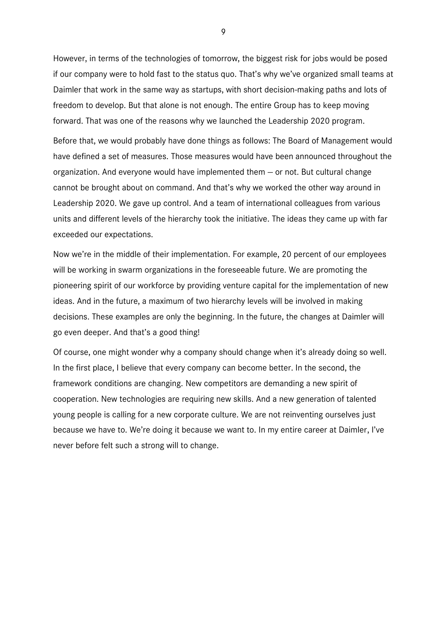However, in terms of the technologies of tomorrow, the biggest risk for jobs would be posed if our company were to hold fast to the status quo. That's why we've organized small teams at Daimler that work in the same way as startups, with short decision-making paths and lots of freedom to develop. But that alone is not enough. The entire Group has to keep moving forward. That was one of the reasons why we launched the Leadership 2020 program.

Before that, we would probably have done things as follows: The Board of Management would have defined a set of measures. Those measures would have been announced throughout the organization. And everyone would have implemented them — or not. But cultural change cannot be brought about on command. And that's why we worked the other way around in Leadership 2020. We gave up control. And a team of international colleagues from various units and different levels of the hierarchy took the initiative. The ideas they came up with far exceeded our expectations.

Now we're in the middle of their implementation. For example, 20 percent of our employees will be working in swarm organizations in the foreseeable future. We are promoting the pioneering spirit of our workforce by providing venture capital for the implementation of new ideas. And in the future, a maximum of two hierarchy levels will be involved in making decisions. These examples are only the beginning. In the future, the changes at Daimler will go even deeper. And that's a good thing!

Of course, one might wonder why a company should change when it's already doing so well. In the first place, I believe that every company can become better. In the second, the framework conditions are changing. New competitors are demanding a new spirit of cooperation. New technologies are requiring new skills. And a new generation of talented young people is calling for a new corporate culture. We are not reinventing ourselves just because we have to. We're doing it because we want to. In my entire career at Daimler, I've never before felt such a strong will to change.